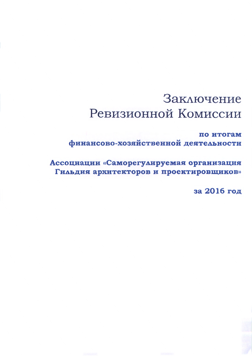# Заключение Ревизионной Комиссии

по итогам финансово-хозяйственной деятельности

Ассоциации «Саморегулируемая организация Гильдия архитекторов и проектировщиков»

за 2016 год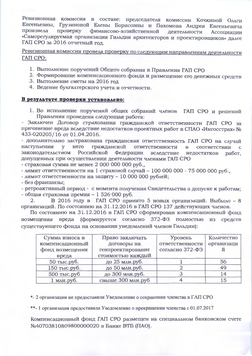Ревизионная комиссия в составе: председателя комиссии Кочкиной Ольги Евгеньевны, Грузиновой Елены Борисовны и Пахомова Андрея Евгеньевича произвела проверку финансово-хозяйственной деятельности Ассоциации «Саморегулируемая организация Гильдия архитекторов и проектировщиков» далее ГАП СРО за 2016 отчетный год.

Ревизионная комиссия провела проверку по следующим направлениям деятельности ГАП СРО:

- 1. Выполнение поручений Общего собрания и Правления ГАП СРО
- 2. Формирование компенсационного фонда и размещение его денежных средств
- 3. Выполнение сметы на 2016 год
- 4. Ведение бухгалтерского учета и отчетности.

#### В результате проверки установлено:

1. Во исполнение поручений общих собраний членов ГАП СРО и решений Правления проведена следующая работа:

- Заключен Договор страхования гражданской ответственности ГАП СРО за причинение вреда вследствие недостатков проектных работ в СПАО «Ингосстрах» № 433-020205/16 or 01.04.2016.

- дополнительно застрахована гражданская ответственность ГАП СРО на случай наступления у него гражданской ответственности в соответствии  $\mathbf{C}$ законодательством Российской Федерации вследствие недостатков работ. допущенных при осуществлении деятельности членами ГАП СРО

- страховая сумма не менее 2 000 000 000 руб..

- лимит ответственности на 1 страховой случай - 100 000 000 - 75 000 000 руб.

- лимит ответственности на защиту - 10 000 000 рублей;

- без франшизы;

- ретроактивный период - с момента получения Свидетельства о допуске к работам: - общая страховая премия - 1 526 000 руб.

В 2016 году в ГАП СРО принято 5 новых организаций. Выбыло - 8  $2.$ организаций. По состоянию на 31.12.2016 в ГАП СРО 137 действующих членов.

По состоянию на 31.12.2016 в ГАП СРО сформирован компенсационный фонд вреда (формируется согласно 372-ФЗ полностью возмещения из средств существующего фонда на основании уведомлений членов Гильдии):

| Сумма взноса в  | Право заключать   | Уровень         | Количество |
|-----------------|-------------------|-----------------|------------|
| компенсационный | договоры на       | ответственности | организаци |
| фонд возмещения | генпроектирование | согласно 372-ФЗ | й          |
| вреда           | стоимостью каждый |                 |            |
| 50 тыс.руб.     | до 25 млн.руб.    |                 | 56         |
| 150 тыс.руб.    | до 50 млн.руб.    |                 | 49         |
| 500 тыс.руб     | до 300 млн.руб.   |                 | 14         |
| 1 млн.руб.      | свыше 300 млн.руб |                 | 15         |

\*- 2 организации не предоставили Уведомление о сохранении членства в ГАП СРО

\*\*- 1 организация предоставила Уведомление о прекращении членства с 01.07.2017

Компенсационный фонд ГАП СРО размещен на специальном банковском счете №40703810809800000020 в Банке ВТБ (ПАО).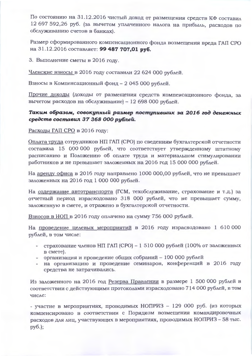По состоянию на 31.12.2016 чистый доход от размещения средств КФ составил 12 697 592,26 руб. (за вычетом уплаченного налога на прибыль, расходов по обслуживанию счетов в банках).

Размер сформированного компенсационного фонда возмещения вреда ГАП СРО на 31.12.2016 составляет: 99 487 707,01 руб.

3. Выполнение сметы в 2016 году.

Членские взносы в 2016 году составили 22 624 000 рублей.

Взносы в Компенсационный фонд - 2 045 000 рублей.

Прочие доходы (доходы от размещения средств компенсационного фонда, за вычетом расходов на обслуживание) - 12 698 000 рублей.

## Таким образом, совокупный размер поступивших за 2016 год денежных средств составил 37 368 000 рублей.

#### Расходы ГАП СРО в 2016 году:

Оплата труда сотрудников НП ГАП (СРО) по сведениям бухгалтерской отчетности составила 15 000 000 рублей, что соответствует утвержденному штатному расписанию и Положению об оплате труда и материальном стимулировании работников и не превышает заложенных на 2016 год 15 000 000 рублей.

На аренду офиса в 2016 году направлено 1000 000,00 рублей, что не превышает заложенных на 2016 год 1 000 000 рублей.

На содержание автотранспорта (ГСМ, техобслуживание, страхование и т.д.) за отчетный период израсходовано 318 000 рублей, что не превышает сумму, заложенную в смете, и отражено в бухгалтерской отчетности.

Взносов в НОП в 2016 году оплачено на сумму 756 000 рублей.

На проведение целевых мероприятий в 2016 году израсходовано 1 610 000 рублей, в том числе:

- страхование членов НП ГАП (СРО) 1 510 000 рублей (100% от заложенных B CMeTe).
- организация и проведение общих собраний 100 000 рублей
- на организацию и проведение семинаров, конференций в 2016 году средства не затрачивались.

Из заложенного на 2016 год Резерва Правления в размере 1 500 000 рублей в соответствии с действующими протоколами израсходовано 714 000 рублей, в том числе:

- участие в мероприятиях, проводимых НОПРИЗ - 129 000 руб. (из которых компенсировано в соответствии с Порядком возмещения командировочных расходов для лиц, участвующих в мероприятиях, проводимых НОПРИЗ - 58 тыс.  $py6.$ ;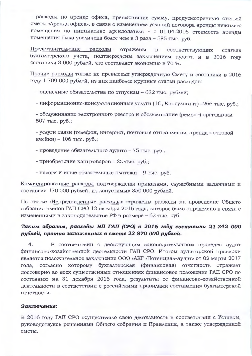- расходы по аренде офиса, превысившие сумму, предусмотренную статьей сметы «Аренда офиса», в связи с изменением условий договора аренды нежилого помещения по инициативе арендодателя - с 01.04.2016 стоимость аренды помещения была увеличена более чем в 3 раза - 585 тыс. руб.

Представительские расходы отражены  $\mathbf{B}$ соответствующих статьях бухгалтерского учета, подтверждены заключением аудита и в 2016 году составили 3 000 рублей, что составляет экономию в 70 %.

Прочие расходы также не превысили утвержденную Смету и составили в 2016 году 1 709 000 рублей, из них наиболее крупные статьи расходов:

- оценочные обязательства по отпускам - 632 тыс. рублей:

- информационно-консультационные услуги (1С, Консультант) -266 тыс. руб.;

- обслуживание электронного реестра и обслуживание (ремонт) оргтехники -507 тыс. руб.;

- услуги связи (телефон, интернет, почтовые отправления, аренда почтовой ячейки) - 106 тыс. руб.;

- проведение обязательного аудита - 75 тыс. руб.;

- приобретение канцтоваров - 35 тыс. руб.;

- налоги и иные обязательные платежи - 9 тыс. руб.

Командировочные расходы подтверждены приказами, служебными заданиями и составили 170 000 рублей, из допустимых 350 000 рублей.

По статье «Непредвиденные расходы» отражены расходы на проведение Общего собрания членов ГАП СРО 12 октября 2016 года, которое было определено в связи с изменениями в законодательстве РФ в размере - 62 тыс. руб.

## Таким образом, расходы НП ГАП (СРО) в 2016 году составили 21 342 000 рублей, против заложенных в смете 22 870 000 рублей.

 $4.$ В соответствии с действующим законодательством проведен аудит финансово-хозяйственной деятельности ГАП СРО. Итогом аудиторской проверки является положительное заключение ООО «АКГ «Потенциал-аудит» от 02 марта 2017 года, согласно которому бухгалтерская (финансовая) отчетность отражает достоверно во всех существенных отношениях финансовое положение ГАП СРО по состоянию на 31 декабря 2016 года, результаты ее финансово-хозяйственной деятельности в соответствии с российскими правилами составления бухгалтерской отчетности.

### Заключение:

В 2016 году ГАП СРО осуществляло свою деятельность в соответствии с Уставом, руководствуясь решениями Общего собрания и Правления, а также утвержденной сметы.